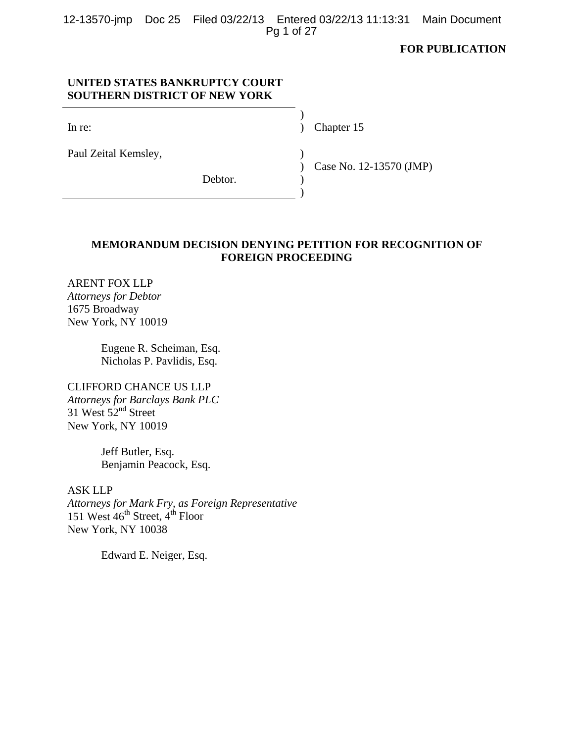|            |  | 12-13570-jmp Doc 25 Filed 03/22/13 Entered 03/22/13 11:13:31 Main Document |  |
|------------|--|----------------------------------------------------------------------------|--|
| Pg 1 of 27 |  |                                                                            |  |

# **FOR PUBLICATION**

## **UNITED STATES BANKRUPTCY COURT SOUTHERN DISTRICT OF NEW YORK**

 $)$ 

 $)$ 

In re: (a) Chapter 15 (a) Chapter 15

Paul Zeital Kemsley, )

Debtor.

Case No. 12-13570 (JMP)

## **MEMORANDUM DECISION DENYING PETITION FOR RECOGNITION OF FOREIGN PROCEEDING**

 $\lambda$ )

ARENT FOX LLP *Attorneys for Debtor* 1675 Broadway New York, NY 10019

> Eugene R. Scheiman, Esq. Nicholas P. Pavlidis, Esq.

## CLIFFORD CHANCE US LLP *Attorneys for Barclays Bank PLC*  $31$  West  $52<sup>nd</sup>$  Street New York, NY 10019

Jeff Butler, Esq. Benjamin Peacock, Esq.

ASK LLP *Attorneys for Mark Fry, as Foreign Representative* 151 West  $46^{th}$  Street,  $4^{th}$  Floor New York, NY 10038

Edward E. Neiger, Esq.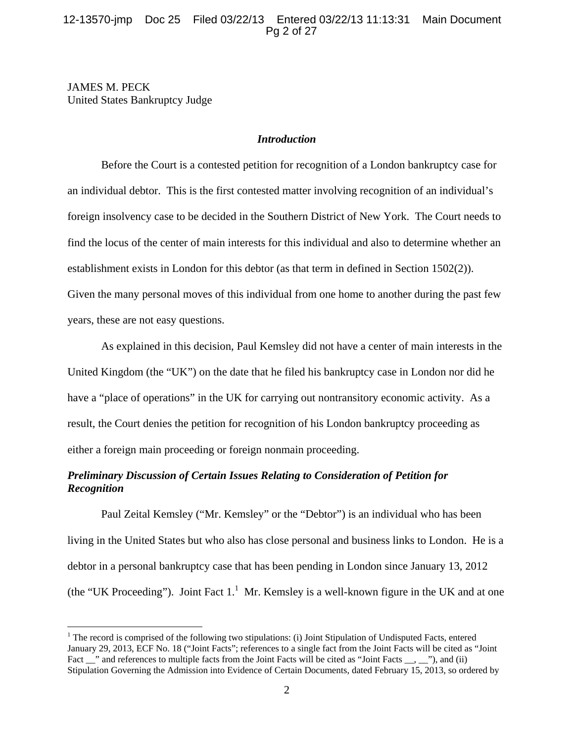## 12-13570-jmp Doc 25 Filed 03/22/13 Entered 03/22/13 11:13:31 Main Document Pg 2 of 27

JAMES M. PECK United States Bankruptcy Judge

 $\overline{a}$ 

### *Introduction*

Before the Court is a contested petition for recognition of a London bankruptcy case for an individual debtor. This is the first contested matter involving recognition of an individual's foreign insolvency case to be decided in the Southern District of New York. The Court needs to find the locus of the center of main interests for this individual and also to determine whether an establishment exists in London for this debtor (as that term in defined in Section 1502(2)). Given the many personal moves of this individual from one home to another during the past few years, these are not easy questions.

As explained in this decision, Paul Kemsley did not have a center of main interests in the United Kingdom (the "UK") on the date that he filed his bankruptcy case in London nor did he have a "place of operations" in the UK for carrying out nontransitory economic activity. As a result, the Court denies the petition for recognition of his London bankruptcy proceeding as either a foreign main proceeding or foreign nonmain proceeding.

# *Preliminary Discussion of Certain Issues Relating to Consideration of Petition for Recognition*

Paul Zeital Kemsley ("Mr. Kemsley" or the "Debtor") is an individual who has been living in the United States but who also has close personal and business links to London. He is a debtor in a personal bankruptcy case that has been pending in London since January 13, 2012 (the "UK Proceeding"). Joint Fact  $1<sup>1</sup>$  Mr. Kemsley is a well-known figure in the UK and at one

 $1$  The record is comprised of the following two stipulations: (i) Joint Stipulation of Undisputed Facts, entered January 29, 2013, ECF No. 18 ("Joint Facts"; references to a single fact from the Joint Facts will be cited as "Joint Fact \_\_" and references to multiple facts from the Joint Facts will be cited as "Joint Facts \_\_, \_\_"), and (ii) Stipulation Governing the Admission into Evidence of Certain Documents, dated February 15, 2013, so ordered by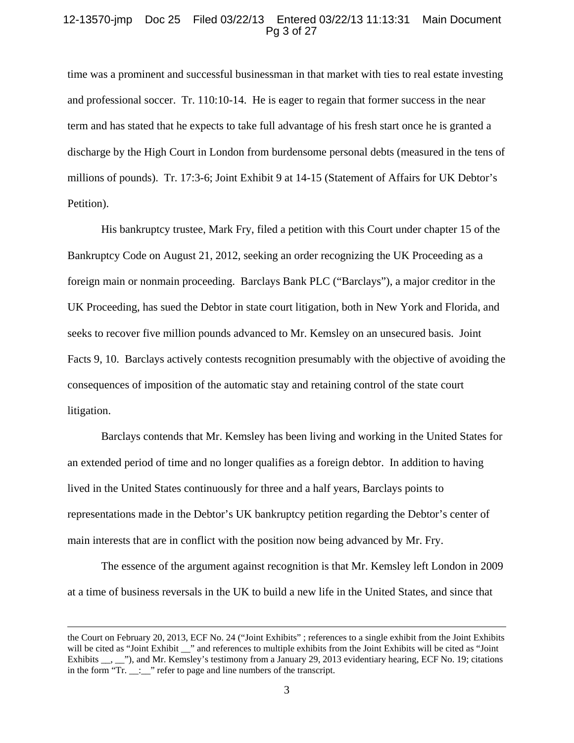#### 12-13570-jmp Doc 25 Filed 03/22/13 Entered 03/22/13 11:13:31 Main Document Pg 3 of 27

time was a prominent and successful businessman in that market with ties to real estate investing and professional soccer. Tr. 110:10-14. He is eager to regain that former success in the near term and has stated that he expects to take full advantage of his fresh start once he is granted a discharge by the High Court in London from burdensome personal debts (measured in the tens of millions of pounds). Tr. 17:3-6; Joint Exhibit 9 at 14-15 (Statement of Affairs for UK Debtor's Petition).

His bankruptcy trustee, Mark Fry, filed a petition with this Court under chapter 15 of the Bankruptcy Code on August 21, 2012, seeking an order recognizing the UK Proceeding as a foreign main or nonmain proceeding. Barclays Bank PLC ("Barclays"), a major creditor in the UK Proceeding, has sued the Debtor in state court litigation, both in New York and Florida, and seeks to recover five million pounds advanced to Mr. Kemsley on an unsecured basis. Joint Facts 9, 10. Barclays actively contests recognition presumably with the objective of avoiding the consequences of imposition of the automatic stay and retaining control of the state court litigation.

Barclays contends that Mr. Kemsley has been living and working in the United States for an extended period of time and no longer qualifies as a foreign debtor. In addition to having lived in the United States continuously for three and a half years, Barclays points to representations made in the Debtor's UK bankruptcy petition regarding the Debtor's center of main interests that are in conflict with the position now being advanced by Mr. Fry.

The essence of the argument against recognition is that Mr. Kemsley left London in 2009 at a time of business reversals in the UK to build a new life in the United States, and since that

the Court on February 20, 2013, ECF No. 24 ("Joint Exhibits" ; references to a single exhibit from the Joint Exhibits will be cited as "Joint Exhibit \_\_" and references to multiple exhibits from the Joint Exhibits will be cited as "Joint Exhibits \_\_, \_\_"), and Mr. Kemsley's testimony from a January 29, 2013 evidentiary hearing, ECF No. 19; citations in the form "Tr. \_\_:\_\_" refer to page and line numbers of the transcript.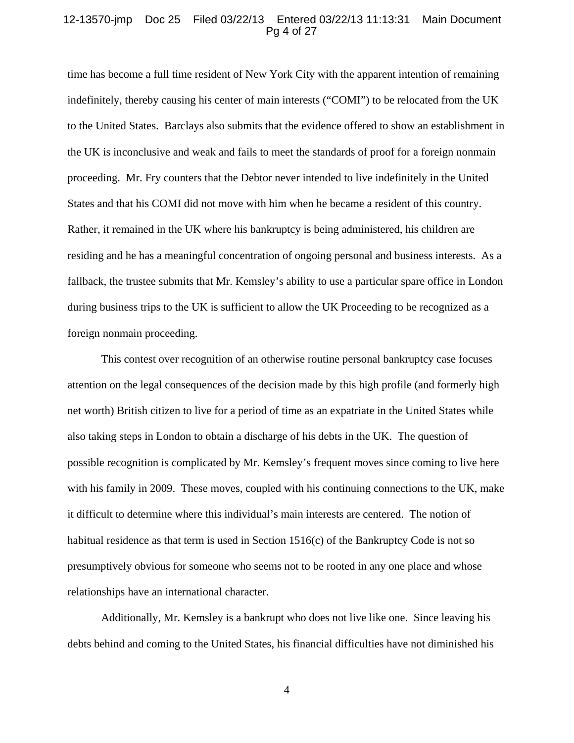### 12-13570-jmp Doc 25 Filed 03/22/13 Entered 03/22/13 11:13:31 Main Document Pg 4 of 27

time has become a full time resident of New York City with the apparent intention of remaining indefinitely, thereby causing his center of main interests ("COMI") to be relocated from the UK to the United States. Barclays also submits that the evidence offered to show an establishment in the UK is inconclusive and weak and fails to meet the standards of proof for a foreign nonmain proceeding. Mr. Fry counters that the Debtor never intended to live indefinitely in the United States and that his COMI did not move with him when he became a resident of this country. Rather, it remained in the UK where his bankruptcy is being administered, his children are residing and he has a meaningful concentration of ongoing personal and business interests. As a fallback, the trustee submits that Mr. Kemsley's ability to use a particular spare office in London during business trips to the UK is sufficient to allow the UK Proceeding to be recognized as a foreign nonmain proceeding.

This contest over recognition of an otherwise routine personal bankruptcy case focuses attention on the legal consequences of the decision made by this high profile (and formerly high net worth) British citizen to live for a period of time as an expatriate in the United States while also taking steps in London to obtain a discharge of his debts in the UK. The question of possible recognition is complicated by Mr. Kemsley's frequent moves since coming to live here with his family in 2009. These moves, coupled with his continuing connections to the UK, make it difficult to determine where this individual's main interests are centered. The notion of habitual residence as that term is used in Section  $1516(c)$  of the Bankruptcy Code is not so presumptively obvious for someone who seems not to be rooted in any one place and whose relationships have an international character.

Additionally, Mr. Kemsley is a bankrupt who does not live like one. Since leaving his debts behind and coming to the United States, his financial difficulties have not diminished his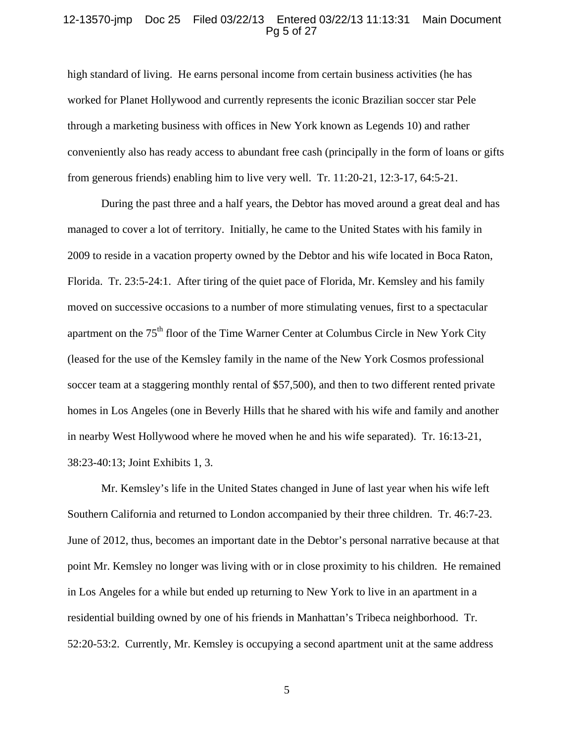### 12-13570-jmp Doc 25 Filed 03/22/13 Entered 03/22/13 11:13:31 Main Document Pg 5 of 27

high standard of living. He earns personal income from certain business activities (he has worked for Planet Hollywood and currently represents the iconic Brazilian soccer star Pele through a marketing business with offices in New York known as Legends 10) and rather conveniently also has ready access to abundant free cash (principally in the form of loans or gifts from generous friends) enabling him to live very well. Tr. 11:20-21, 12:3-17, 64:5-21.

During the past three and a half years, the Debtor has moved around a great deal and has managed to cover a lot of territory. Initially, he came to the United States with his family in 2009 to reside in a vacation property owned by the Debtor and his wife located in Boca Raton, Florida. Tr. 23:5-24:1. After tiring of the quiet pace of Florida, Mr. Kemsley and his family moved on successive occasions to a number of more stimulating venues, first to a spectacular apartment on the 75<sup>th</sup> floor of the Time Warner Center at Columbus Circle in New York City (leased for the use of the Kemsley family in the name of the New York Cosmos professional soccer team at a staggering monthly rental of \$57,500), and then to two different rented private homes in Los Angeles (one in Beverly Hills that he shared with his wife and family and another in nearby West Hollywood where he moved when he and his wife separated). Tr. 16:13-21, 38:23-40:13; Joint Exhibits 1, 3.

Mr. Kemsley's life in the United States changed in June of last year when his wife left Southern California and returned to London accompanied by their three children. Tr. 46:7-23. June of 2012, thus, becomes an important date in the Debtor's personal narrative because at that point Mr. Kemsley no longer was living with or in close proximity to his children. He remained in Los Angeles for a while but ended up returning to New York to live in an apartment in a residential building owned by one of his friends in Manhattan's Tribeca neighborhood. Tr. 52:20-53:2. Currently, Mr. Kemsley is occupying a second apartment unit at the same address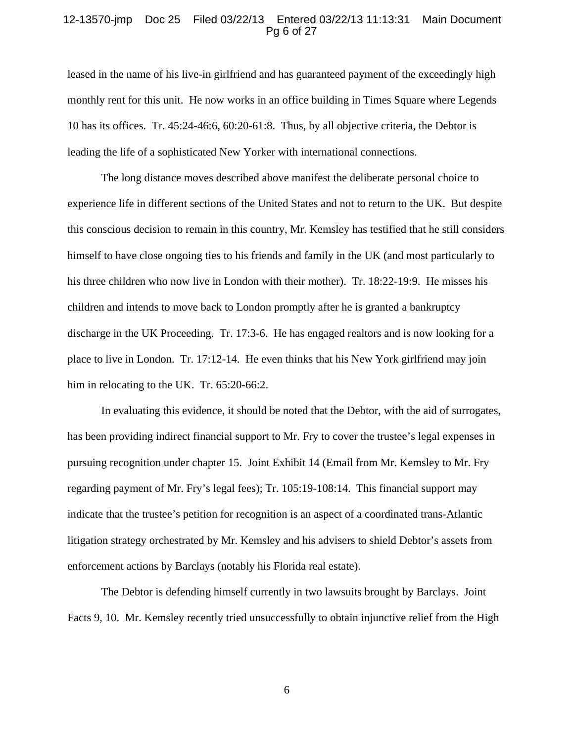#### 12-13570-jmp Doc 25 Filed 03/22/13 Entered 03/22/13 11:13:31 Main Document Pg 6 of 27

leased in the name of his live-in girlfriend and has guaranteed payment of the exceedingly high monthly rent for this unit. He now works in an office building in Times Square where Legends 10 has its offices. Tr. 45:24-46:6, 60:20-61:8. Thus, by all objective criteria, the Debtor is leading the life of a sophisticated New Yorker with international connections.

The long distance moves described above manifest the deliberate personal choice to experience life in different sections of the United States and not to return to the UK. But despite this conscious decision to remain in this country, Mr. Kemsley has testified that he still considers himself to have close ongoing ties to his friends and family in the UK (and most particularly to his three children who now live in London with their mother). Tr. 18:22-19:9. He misses his children and intends to move back to London promptly after he is granted a bankruptcy discharge in the UK Proceeding. Tr. 17:3-6. He has engaged realtors and is now looking for a place to live in London. Tr. 17:12-14. He even thinks that his New York girlfriend may join him in relocating to the UK. Tr. 65:20-66:2.

In evaluating this evidence, it should be noted that the Debtor, with the aid of surrogates, has been providing indirect financial support to Mr. Fry to cover the trustee's legal expenses in pursuing recognition under chapter 15. Joint Exhibit 14 (Email from Mr. Kemsley to Mr. Fry regarding payment of Mr. Fry's legal fees); Tr. 105:19-108:14. This financial support may indicate that the trustee's petition for recognition is an aspect of a coordinated trans-Atlantic litigation strategy orchestrated by Mr. Kemsley and his advisers to shield Debtor's assets from enforcement actions by Barclays (notably his Florida real estate).

The Debtor is defending himself currently in two lawsuits brought by Barclays. Joint Facts 9, 10. Mr. Kemsley recently tried unsuccessfully to obtain injunctive relief from the High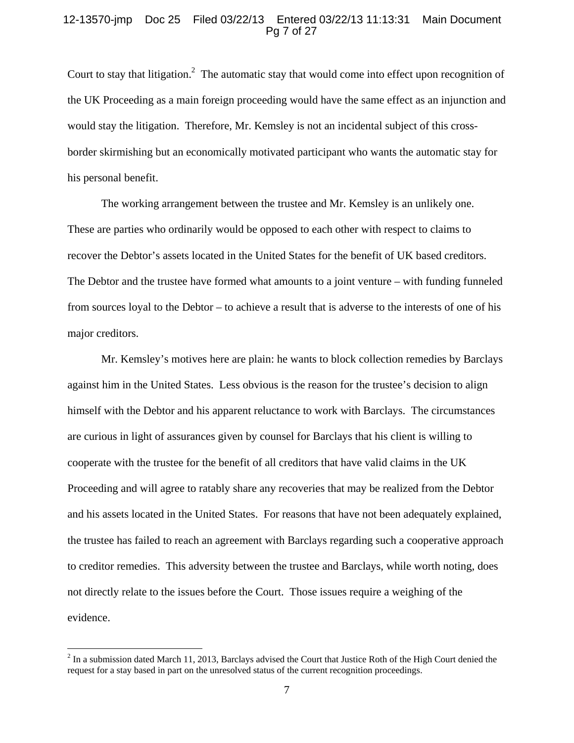#### 12-13570-jmp Doc 25 Filed 03/22/13 Entered 03/22/13 11:13:31 Main Document Pg 7 of 27

Court to stay that litigation.<sup>2</sup> The automatic stay that would come into effect upon recognition of the UK Proceeding as a main foreign proceeding would have the same effect as an injunction and would stay the litigation. Therefore, Mr. Kemsley is not an incidental subject of this crossborder skirmishing but an economically motivated participant who wants the automatic stay for his personal benefit.

The working arrangement between the trustee and Mr. Kemsley is an unlikely one. These are parties who ordinarily would be opposed to each other with respect to claims to recover the Debtor's assets located in the United States for the benefit of UK based creditors. The Debtor and the trustee have formed what amounts to a joint venture – with funding funneled from sources loyal to the Debtor – to achieve a result that is adverse to the interests of one of his major creditors.

Mr. Kemsley's motives here are plain: he wants to block collection remedies by Barclays against him in the United States. Less obvious is the reason for the trustee's decision to align himself with the Debtor and his apparent reluctance to work with Barclays. The circumstances are curious in light of assurances given by counsel for Barclays that his client is willing to cooperate with the trustee for the benefit of all creditors that have valid claims in the UK Proceeding and will agree to ratably share any recoveries that may be realized from the Debtor and his assets located in the United States. For reasons that have not been adequately explained, the trustee has failed to reach an agreement with Barclays regarding such a cooperative approach to creditor remedies. This adversity between the trustee and Barclays, while worth noting, does not directly relate to the issues before the Court. Those issues require a weighing of the evidence.

 $2^2$  In a submission dated March 11, 2013, Barclays advised the Court that Justice Roth of the High Court denied the request for a stay based in part on the unresolved status of the current recognition proceedings.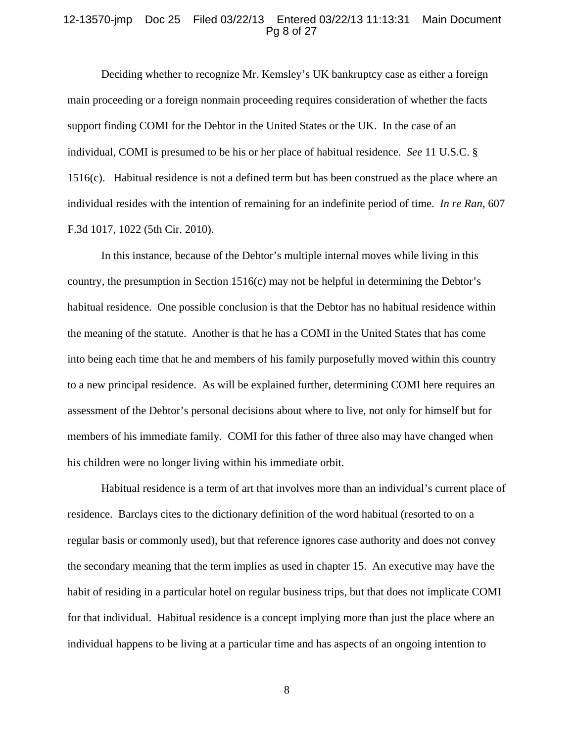### 12-13570-jmp Doc 25 Filed 03/22/13 Entered 03/22/13 11:13:31 Main Document Pg 8 of 27

Deciding whether to recognize Mr. Kemsley's UK bankruptcy case as either a foreign main proceeding or a foreign nonmain proceeding requires consideration of whether the facts support finding COMI for the Debtor in the United States or the UK. In the case of an individual, COMI is presumed to be his or her place of habitual residence. *See* 11 U.S.C. § 1516(c). Habitual residence is not a defined term but has been construed as the place where an individual resides with the intention of remaining for an indefinite period of time. *In re Ran*, 607 F.3d 1017, 1022 (5th Cir. 2010).

In this instance, because of the Debtor's multiple internal moves while living in this country, the presumption in Section 1516(c) may not be helpful in determining the Debtor's habitual residence. One possible conclusion is that the Debtor has no habitual residence within the meaning of the statute. Another is that he has a COMI in the United States that has come into being each time that he and members of his family purposefully moved within this country to a new principal residence. As will be explained further, determining COMI here requires an assessment of the Debtor's personal decisions about where to live, not only for himself but for members of his immediate family. COMI for this father of three also may have changed when his children were no longer living within his immediate orbit.

Habitual residence is a term of art that involves more than an individual's current place of residence. Barclays cites to the dictionary definition of the word habitual (resorted to on a regular basis or commonly used), but that reference ignores case authority and does not convey the secondary meaning that the term implies as used in chapter 15. An executive may have the habit of residing in a particular hotel on regular business trips, but that does not implicate COMI for that individual. Habitual residence is a concept implying more than just the place where an individual happens to be living at a particular time and has aspects of an ongoing intention to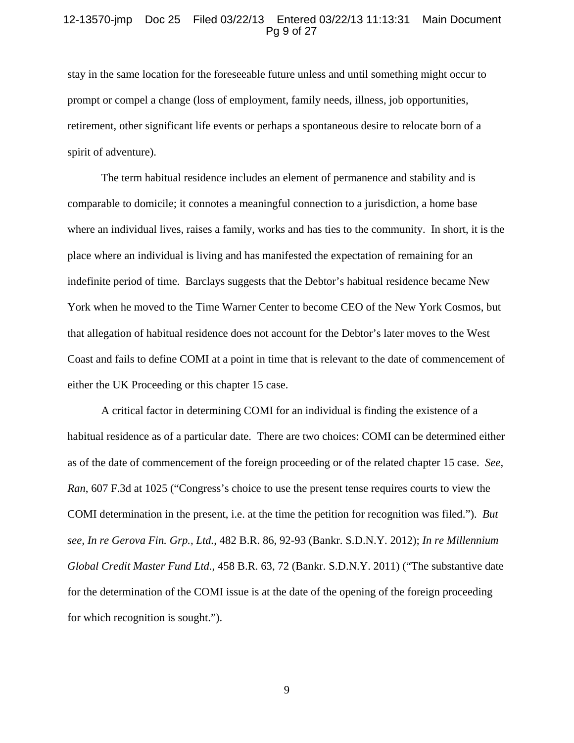### 12-13570-jmp Doc 25 Filed 03/22/13 Entered 03/22/13 11:13:31 Main Document Pg 9 of 27

stay in the same location for the foreseeable future unless and until something might occur to prompt or compel a change (loss of employment, family needs, illness, job opportunities, retirement, other significant life events or perhaps a spontaneous desire to relocate born of a spirit of adventure).

The term habitual residence includes an element of permanence and stability and is comparable to domicile; it connotes a meaningful connection to a jurisdiction, a home base where an individual lives, raises a family, works and has ties to the community. In short, it is the place where an individual is living and has manifested the expectation of remaining for an indefinite period of time. Barclays suggests that the Debtor's habitual residence became New York when he moved to the Time Warner Center to become CEO of the New York Cosmos, but that allegation of habitual residence does not account for the Debtor's later moves to the West Coast and fails to define COMI at a point in time that is relevant to the date of commencement of either the UK Proceeding or this chapter 15 case.

A critical factor in determining COMI for an individual is finding the existence of a habitual residence as of a particular date. There are two choices: COMI can be determined either as of the date of commencement of the foreign proceeding or of the related chapter 15 case. *See, Ran*, 607 F.3d at 1025 ("Congress's choice to use the present tense requires courts to view the COMI determination in the present, i.e. at the time the petition for recognition was filed."). *But see, In re Gerova Fin. Grp., Ltd.*, 482 B.R. 86, 92-93 (Bankr. S.D.N.Y. 2012); *In re Millennium Global Credit Master Fund Ltd.*, 458 B.R. 63, 72 (Bankr. S.D.N.Y. 2011) ("The substantive date for the determination of the COMI issue is at the date of the opening of the foreign proceeding for which recognition is sought.").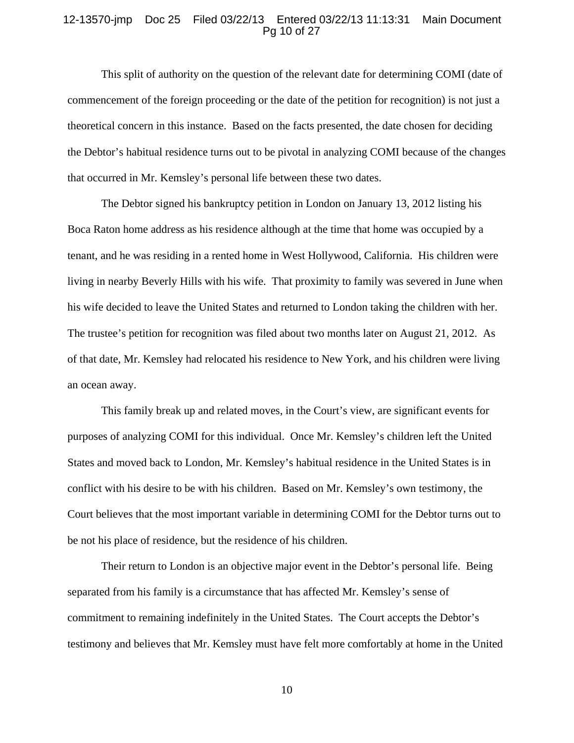### 12-13570-jmp Doc 25 Filed 03/22/13 Entered 03/22/13 11:13:31 Main Document Pg 10 of 27

This split of authority on the question of the relevant date for determining COMI (date of commencement of the foreign proceeding or the date of the petition for recognition) is not just a theoretical concern in this instance. Based on the facts presented, the date chosen for deciding the Debtor's habitual residence turns out to be pivotal in analyzing COMI because of the changes that occurred in Mr. Kemsley's personal life between these two dates.

The Debtor signed his bankruptcy petition in London on January 13, 2012 listing his Boca Raton home address as his residence although at the time that home was occupied by a tenant, and he was residing in a rented home in West Hollywood, California. His children were living in nearby Beverly Hills with his wife. That proximity to family was severed in June when his wife decided to leave the United States and returned to London taking the children with her. The trustee's petition for recognition was filed about two months later on August 21, 2012. As of that date, Mr. Kemsley had relocated his residence to New York, and his children were living an ocean away.

This family break up and related moves, in the Court's view, are significant events for purposes of analyzing COMI for this individual. Once Mr. Kemsley's children left the United States and moved back to London, Mr. Kemsley's habitual residence in the United States is in conflict with his desire to be with his children. Based on Mr. Kemsley's own testimony, the Court believes that the most important variable in determining COMI for the Debtor turns out to be not his place of residence, but the residence of his children.

Their return to London is an objective major event in the Debtor's personal life. Being separated from his family is a circumstance that has affected Mr. Kemsley's sense of commitment to remaining indefinitely in the United States. The Court accepts the Debtor's testimony and believes that Mr. Kemsley must have felt more comfortably at home in the United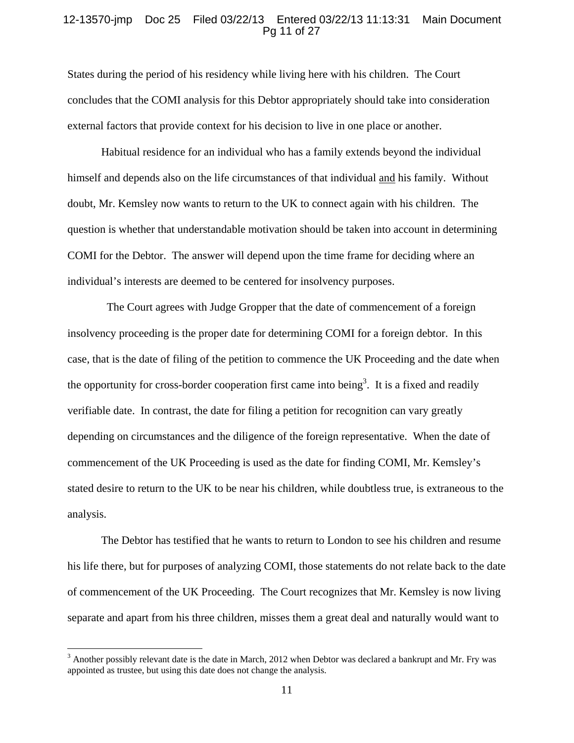#### 12-13570-jmp Doc 25 Filed 03/22/13 Entered 03/22/13 11:13:31 Main Document Pg 11 of 27

States during the period of his residency while living here with his children. The Court concludes that the COMI analysis for this Debtor appropriately should take into consideration external factors that provide context for his decision to live in one place or another.

Habitual residence for an individual who has a family extends beyond the individual himself and depends also on the life circumstances of that individual and his family. Without doubt, Mr. Kemsley now wants to return to the UK to connect again with his children. The question is whether that understandable motivation should be taken into account in determining COMI for the Debtor. The answer will depend upon the time frame for deciding where an individual's interests are deemed to be centered for insolvency purposes.

 The Court agrees with Judge Gropper that the date of commencement of a foreign insolvency proceeding is the proper date for determining COMI for a foreign debtor. In this case, that is the date of filing of the petition to commence the UK Proceeding and the date when the opportunity for cross-border cooperation first came into being<sup>3</sup>. It is a fixed and readily verifiable date. In contrast, the date for filing a petition for recognition can vary greatly depending on circumstances and the diligence of the foreign representative. When the date of commencement of the UK Proceeding is used as the date for finding COMI, Mr. Kemsley's stated desire to return to the UK to be near his children, while doubtless true, is extraneous to the analysis.

The Debtor has testified that he wants to return to London to see his children and resume his life there, but for purposes of analyzing COMI, those statements do not relate back to the date of commencement of the UK Proceeding. The Court recognizes that Mr. Kemsley is now living separate and apart from his three children, misses them a great deal and naturally would want to

 $3$  Another possibly relevant date is the date in March, 2012 when Debtor was declared a bankrupt and Mr. Fry was appointed as trustee, but using this date does not change the analysis.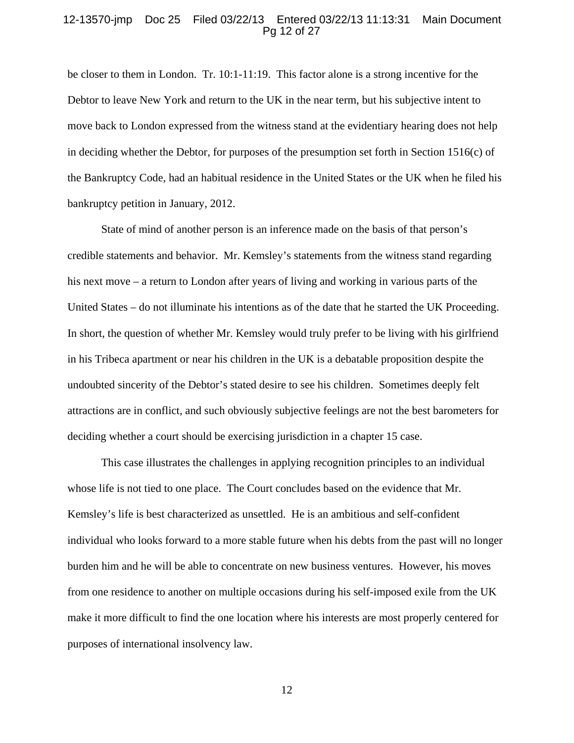#### 12-13570-jmp Doc 25 Filed 03/22/13 Entered 03/22/13 11:13:31 Main Document Pg 12 of 27

be closer to them in London. Tr. 10:1-11:19. This factor alone is a strong incentive for the Debtor to leave New York and return to the UK in the near term, but his subjective intent to move back to London expressed from the witness stand at the evidentiary hearing does not help in deciding whether the Debtor, for purposes of the presumption set forth in Section 1516(c) of the Bankruptcy Code, had an habitual residence in the United States or the UK when he filed his bankruptcy petition in January, 2012.

State of mind of another person is an inference made on the basis of that person's credible statements and behavior. Mr. Kemsley's statements from the witness stand regarding his next move – a return to London after years of living and working in various parts of the United States – do not illuminate his intentions as of the date that he started the UK Proceeding. In short, the question of whether Mr. Kemsley would truly prefer to be living with his girlfriend in his Tribeca apartment or near his children in the UK is a debatable proposition despite the undoubted sincerity of the Debtor's stated desire to see his children. Sometimes deeply felt attractions are in conflict, and such obviously subjective feelings are not the best barometers for deciding whether a court should be exercising jurisdiction in a chapter 15 case.

This case illustrates the challenges in applying recognition principles to an individual whose life is not tied to one place. The Court concludes based on the evidence that Mr. Kemsley's life is best characterized as unsettled. He is an ambitious and self-confident individual who looks forward to a more stable future when his debts from the past will no longer burden him and he will be able to concentrate on new business ventures. However, his moves from one residence to another on multiple occasions during his self-imposed exile from the UK make it more difficult to find the one location where his interests are most properly centered for purposes of international insolvency law.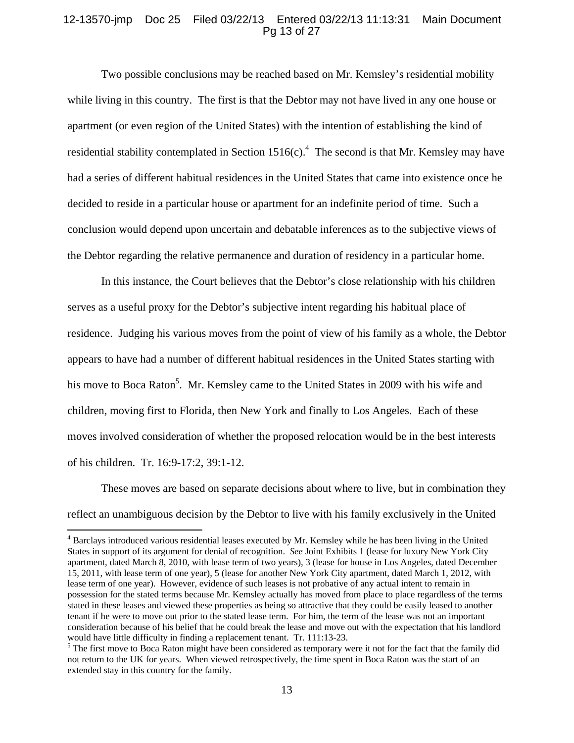### 12-13570-jmp Doc 25 Filed 03/22/13 Entered 03/22/13 11:13:31 Main Document Pg 13 of 27

Two possible conclusions may be reached based on Mr. Kemsley's residential mobility while living in this country. The first is that the Debtor may not have lived in any one house or apartment (or even region of the United States) with the intention of establishing the kind of residential stability contemplated in Section  $1516(c)$ .<sup>4</sup> The second is that Mr. Kemsley may have had a series of different habitual residences in the United States that came into existence once he decided to reside in a particular house or apartment for an indefinite period of time. Such a conclusion would depend upon uncertain and debatable inferences as to the subjective views of the Debtor regarding the relative permanence and duration of residency in a particular home.

In this instance, the Court believes that the Debtor's close relationship with his children serves as a useful proxy for the Debtor's subjective intent regarding his habitual place of residence. Judging his various moves from the point of view of his family as a whole, the Debtor appears to have had a number of different habitual residences in the United States starting with his move to Boca Raton<sup>5</sup>. Mr. Kemsley came to the United States in 2009 with his wife and children, moving first to Florida, then New York and finally to Los Angeles. Each of these moves involved consideration of whether the proposed relocation would be in the best interests of his children. Tr. 16:9-17:2, 39:1-12.

These moves are based on separate decisions about where to live, but in combination they reflect an unambiguous decision by the Debtor to live with his family exclusively in the United

<sup>&</sup>lt;sup>4</sup> Barclays introduced various residential leases executed by Mr. Kemsley while he has been living in the United States in support of its argument for denial of recognition. *See* Joint Exhibits 1 (lease for luxury New York City apartment, dated March 8, 2010, with lease term of two years), 3 (lease for house in Los Angeles, dated December 15, 2011, with lease term of one year), 5 (lease for another New York City apartment, dated March 1, 2012, with lease term of one year). However, evidence of such leases is not probative of any actual intent to remain in possession for the stated terms because Mr. Kemsley actually has moved from place to place regardless of the terms stated in these leases and viewed these properties as being so attractive that they could be easily leased to another tenant if he were to move out prior to the stated lease term. For him, the term of the lease was not an important consideration because of his belief that he could break the lease and move out with the expectation that his landlord would have little difficulty in finding a replacement tenant. Tr. 111:13-23.

<sup>&</sup>lt;sup>5</sup> The first move to Boca Raton might have been considered as temporary were it not for the fact that the family did not return to the UK for years. When viewed retrospectively, the time spent in Boca Raton was the start of an extended stay in this country for the family.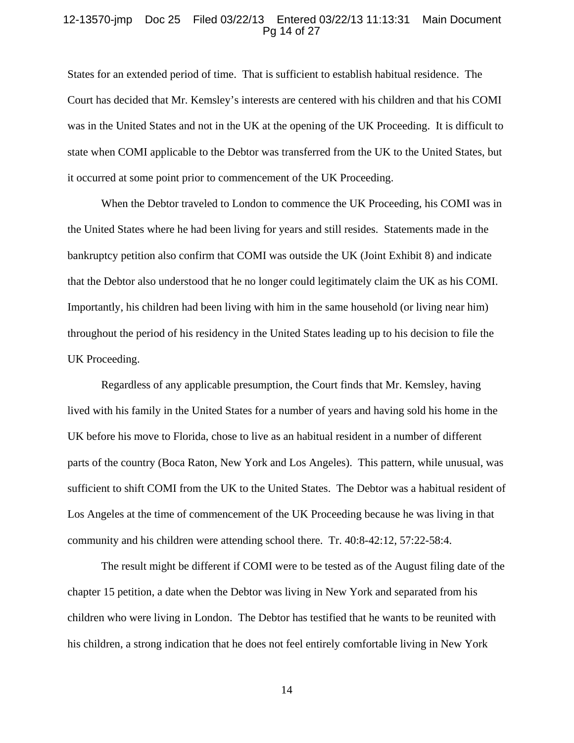#### 12-13570-jmp Doc 25 Filed 03/22/13 Entered 03/22/13 11:13:31 Main Document Pg 14 of 27

States for an extended period of time. That is sufficient to establish habitual residence. The Court has decided that Mr. Kemsley's interests are centered with his children and that his COMI was in the United States and not in the UK at the opening of the UK Proceeding. It is difficult to state when COMI applicable to the Debtor was transferred from the UK to the United States, but it occurred at some point prior to commencement of the UK Proceeding.

When the Debtor traveled to London to commence the UK Proceeding, his COMI was in the United States where he had been living for years and still resides. Statements made in the bankruptcy petition also confirm that COMI was outside the UK (Joint Exhibit 8) and indicate that the Debtor also understood that he no longer could legitimately claim the UK as his COMI. Importantly, his children had been living with him in the same household (or living near him) throughout the period of his residency in the United States leading up to his decision to file the UK Proceeding.

Regardless of any applicable presumption, the Court finds that Mr. Kemsley, having lived with his family in the United States for a number of years and having sold his home in the UK before his move to Florida, chose to live as an habitual resident in a number of different parts of the country (Boca Raton, New York and Los Angeles). This pattern, while unusual, was sufficient to shift COMI from the UK to the United States. The Debtor was a habitual resident of Los Angeles at the time of commencement of the UK Proceeding because he was living in that community and his children were attending school there. Tr. 40:8-42:12, 57:22-58:4.

The result might be different if COMI were to be tested as of the August filing date of the chapter 15 petition, a date when the Debtor was living in New York and separated from his children who were living in London. The Debtor has testified that he wants to be reunited with his children, a strong indication that he does not feel entirely comfortable living in New York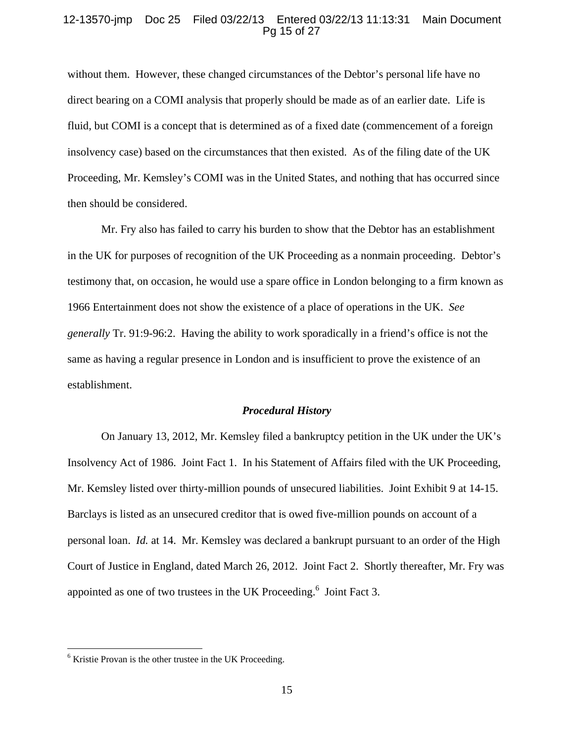### 12-13570-jmp Doc 25 Filed 03/22/13 Entered 03/22/13 11:13:31 Main Document Pg 15 of 27

without them. However, these changed circumstances of the Debtor's personal life have no direct bearing on a COMI analysis that properly should be made as of an earlier date. Life is fluid, but COMI is a concept that is determined as of a fixed date (commencement of a foreign insolvency case) based on the circumstances that then existed. As of the filing date of the UK Proceeding, Mr. Kemsley's COMI was in the United States, and nothing that has occurred since then should be considered.

Mr. Fry also has failed to carry his burden to show that the Debtor has an establishment in the UK for purposes of recognition of the UK Proceeding as a nonmain proceeding. Debtor's testimony that, on occasion, he would use a spare office in London belonging to a firm known as 1966 Entertainment does not show the existence of a place of operations in the UK. *See generally* Tr. 91:9-96:2. Having the ability to work sporadically in a friend's office is not the same as having a regular presence in London and is insufficient to prove the existence of an establishment.

#### *Procedural History*

 On January 13, 2012, Mr. Kemsley filed a bankruptcy petition in the UK under the UK's Insolvency Act of 1986. Joint Fact 1. In his Statement of Affairs filed with the UK Proceeding, Mr. Kemsley listed over thirty-million pounds of unsecured liabilities. Joint Exhibit 9 at 14-15. Barclays is listed as an unsecured creditor that is owed five-million pounds on account of a personal loan. *Id.* at 14. Mr. Kemsley was declared a bankrupt pursuant to an order of the High Court of Justice in England, dated March 26, 2012. Joint Fact 2. Shortly thereafter, Mr. Fry was appointed as one of two trustees in the UK Proceeding.<sup>6</sup> Joint Fact 3.

<sup>&</sup>lt;sup>6</sup> Kristie Provan is the other trustee in the UK Proceeding.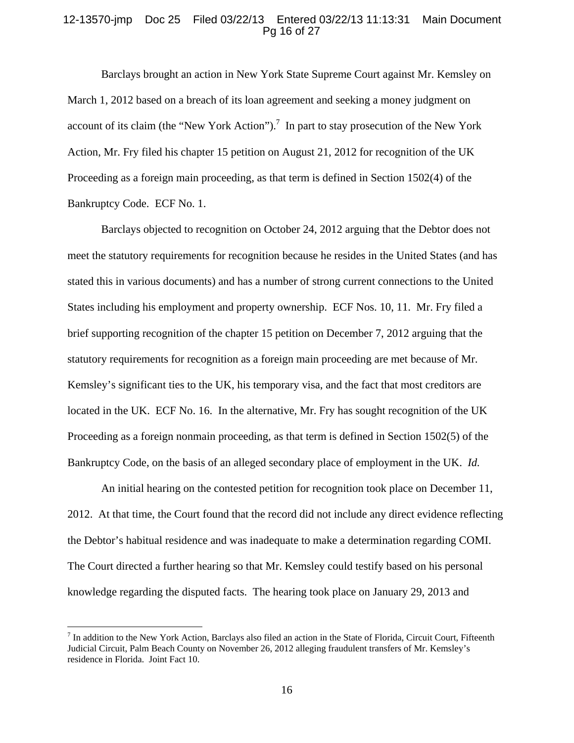### 12-13570-jmp Doc 25 Filed 03/22/13 Entered 03/22/13 11:13:31 Main Document Pg 16 of 27

 Barclays brought an action in New York State Supreme Court against Mr. Kemsley on March 1, 2012 based on a breach of its loan agreement and seeking a money judgment on account of its claim (the "New York Action").<sup>7</sup> In part to stay prosecution of the New York Action, Mr. Fry filed his chapter 15 petition on August 21, 2012 for recognition of the UK Proceeding as a foreign main proceeding, as that term is defined in Section 1502(4) of the Bankruptcy Code. ECF No. 1.

Barclays objected to recognition on October 24, 2012 arguing that the Debtor does not meet the statutory requirements for recognition because he resides in the United States (and has stated this in various documents) and has a number of strong current connections to the United States including his employment and property ownership. ECF Nos. 10, 11. Mr. Fry filed a brief supporting recognition of the chapter 15 petition on December 7, 2012 arguing that the statutory requirements for recognition as a foreign main proceeding are met because of Mr. Kemsley's significant ties to the UK, his temporary visa, and the fact that most creditors are located in the UK. ECF No. 16. In the alternative, Mr. Fry has sought recognition of the UK Proceeding as a foreign nonmain proceeding, as that term is defined in Section 1502(5) of the Bankruptcy Code, on the basis of an alleged secondary place of employment in the UK. *Id.*

 An initial hearing on the contested petition for recognition took place on December 11, 2012. At that time, the Court found that the record did not include any direct evidence reflecting the Debtor's habitual residence and was inadequate to make a determination regarding COMI. The Court directed a further hearing so that Mr. Kemsley could testify based on his personal knowledge regarding the disputed facts. The hearing took place on January 29, 2013 and

 $<sup>7</sup>$  In addition to the New York Action, Barclays also filed an action in the State of Florida, Circuit Court, Fifteenth</sup> Judicial Circuit, Palm Beach County on November 26, 2012 alleging fraudulent transfers of Mr. Kemsley's residence in Florida. Joint Fact 10.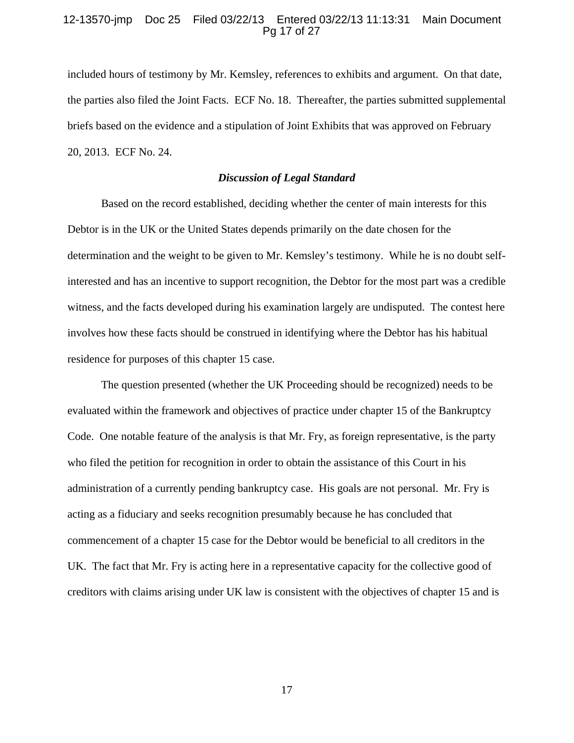## 12-13570-jmp Doc 25 Filed 03/22/13 Entered 03/22/13 11:13:31 Main Document Pg 17 of 27

included hours of testimony by Mr. Kemsley, references to exhibits and argument. On that date, the parties also filed the Joint Facts. ECF No. 18. Thereafter, the parties submitted supplemental briefs based on the evidence and a stipulation of Joint Exhibits that was approved on February 20, 2013. ECF No. 24.

### *Discussion of Legal Standard*

Based on the record established, deciding whether the center of main interests for this Debtor is in the UK or the United States depends primarily on the date chosen for the determination and the weight to be given to Mr. Kemsley's testimony. While he is no doubt selfinterested and has an incentive to support recognition, the Debtor for the most part was a credible witness, and the facts developed during his examination largely are undisputed. The contest here involves how these facts should be construed in identifying where the Debtor has his habitual residence for purposes of this chapter 15 case.

The question presented (whether the UK Proceeding should be recognized) needs to be evaluated within the framework and objectives of practice under chapter 15 of the Bankruptcy Code. One notable feature of the analysis is that Mr. Fry, as foreign representative, is the party who filed the petition for recognition in order to obtain the assistance of this Court in his administration of a currently pending bankruptcy case. His goals are not personal. Mr. Fry is acting as a fiduciary and seeks recognition presumably because he has concluded that commencement of a chapter 15 case for the Debtor would be beneficial to all creditors in the UK. The fact that Mr. Fry is acting here in a representative capacity for the collective good of creditors with claims arising under UK law is consistent with the objectives of chapter 15 and is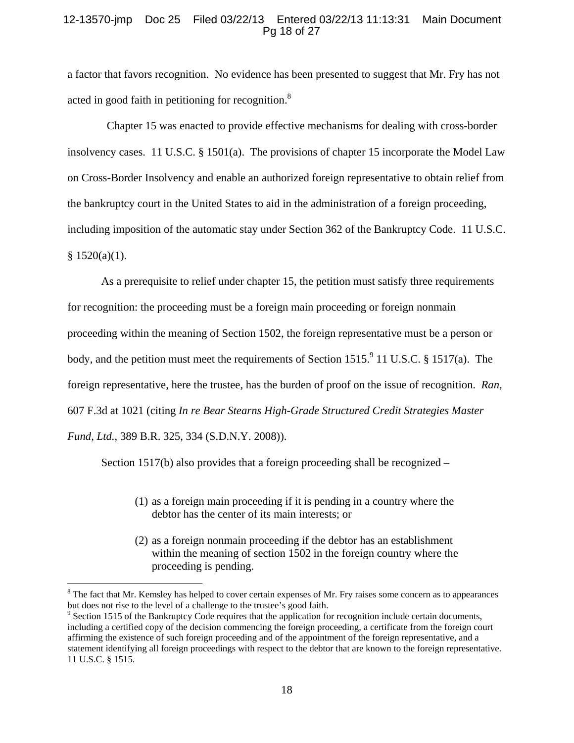## 12-13570-jmp Doc 25 Filed 03/22/13 Entered 03/22/13 11:13:31 Main Document Pg 18 of 27

a factor that favors recognition. No evidence has been presented to suggest that Mr. Fry has not acted in good faith in petitioning for recognition.<sup>8</sup>

 Chapter 15 was enacted to provide effective mechanisms for dealing with cross-border insolvency cases. 11 U.S.C. § 1501(a). The provisions of chapter 15 incorporate the Model Law on Cross-Border Insolvency and enable an authorized foreign representative to obtain relief from the bankruptcy court in the United States to aid in the administration of a foreign proceeding, including imposition of the automatic stay under Section 362 of the Bankruptcy Code. 11 U.S.C.  $§ 1520(a)(1).$ 

As a prerequisite to relief under chapter 15, the petition must satisfy three requirements for recognition: the proceeding must be a foreign main proceeding or foreign nonmain proceeding within the meaning of Section 1502, the foreign representative must be a person or body, and the petition must meet the requirements of Section 1515. <sup>9</sup> 11 U.S.C. § 1517(a). The foreign representative, here the trustee, has the burden of proof on the issue of recognition. *Ran*, 607 F.3d at 1021 (citing *In re Bear Stearns High-Grade Structured Credit Strategies Master Fund, Ltd.*, 389 B.R. 325, 334 (S.D.N.Y. 2008)).

Section 1517(b) also provides that a foreign proceeding shall be recognized –

- (1) as a foreign main proceeding if it is pending in a country where the debtor has the center of its main interests; or
- (2) as a foreign nonmain proceeding if the debtor has an establishment within the meaning of section 1502 in the foreign country where the proceeding is pending.

 $8$  The fact that Mr. Kemsley has helped to cover certain expenses of Mr. Fry raises some concern as to appearances but does not rise to the level of a challenge to the trustee's good faith.

<sup>&</sup>lt;sup>9</sup> Section 1515 of the Bankruptcy Code requires that the application for recognition include certain documents, including a certified copy of the decision commencing the foreign proceeding, a certificate from the foreign court affirming the existence of such foreign proceeding and of the appointment of the foreign representative, and a statement identifying all foreign proceedings with respect to the debtor that are known to the foreign representative. 11 U.S.C. § 1515.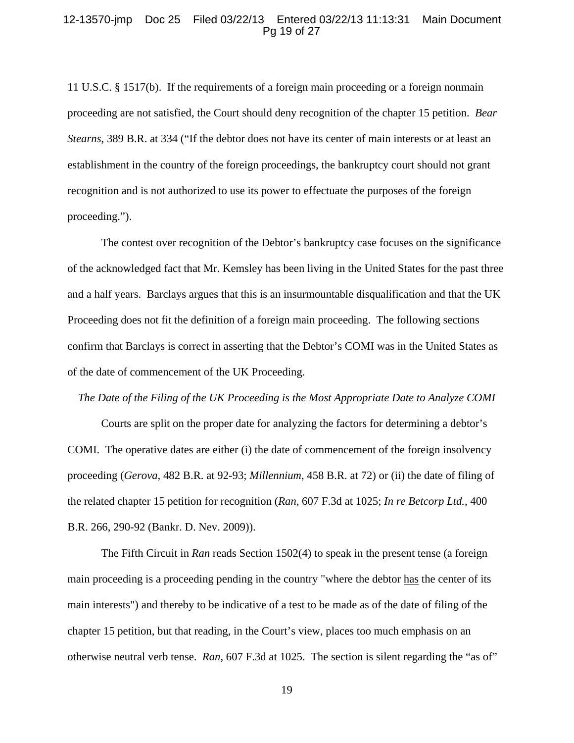#### 12-13570-jmp Doc 25 Filed 03/22/13 Entered 03/22/13 11:13:31 Main Document Pg 19 of 27

11 U.S.C. § 1517(b). If the requirements of a foreign main proceeding or a foreign nonmain proceeding are not satisfied, the Court should deny recognition of the chapter 15 petition. *Bear Stearns*, 389 B.R. at 334 ("If the debtor does not have its center of main interests or at least an establishment in the country of the foreign proceedings, the bankruptcy court should not grant recognition and is not authorized to use its power to effectuate the purposes of the foreign proceeding.").

 The contest over recognition of the Debtor's bankruptcy case focuses on the significance of the acknowledged fact that Mr. Kemsley has been living in the United States for the past three and a half years. Barclays argues that this is an insurmountable disqualification and that the UK Proceeding does not fit the definition of a foreign main proceeding. The following sections confirm that Barclays is correct in asserting that the Debtor's COMI was in the United States as of the date of commencement of the UK Proceeding.

*The Date of the Filing of the UK Proceeding is the Most Appropriate Date to Analyze COMI* 

Courts are split on the proper date for analyzing the factors for determining a debtor's COMI. The operative dates are either (i) the date of commencement of the foreign insolvency proceeding (*Gerova*, 482 B.R. at 92-93; *Millennium*, 458 B.R. at 72) or (ii) the date of filing of the related chapter 15 petition for recognition (*Ran*, 607 F.3d at 1025; *In re Betcorp Ltd.*, 400 B.R. 266, 290-92 (Bankr. D. Nev. 2009)).

The Fifth Circuit in *Ran* reads Section 1502(4) to speak in the present tense (a foreign main proceeding is a proceeding pending in the country "where the debtor has the center of its main interests") and thereby to be indicative of a test to be made as of the date of filing of the chapter 15 petition, but that reading, in the Court's view, places too much emphasis on an otherwise neutral verb tense. *Ran*, 607 F.3d at 1025. The section is silent regarding the "as of"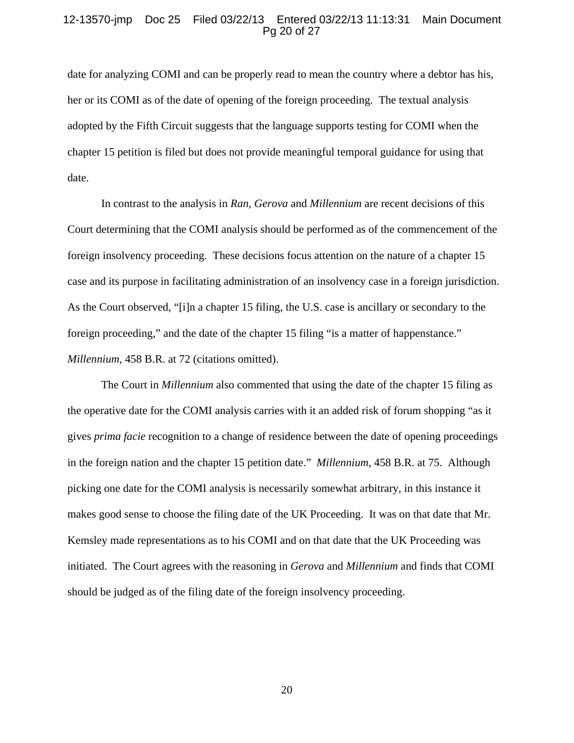### 12-13570-jmp Doc 25 Filed 03/22/13 Entered 03/22/13 11:13:31 Main Document Pg 20 of 27

date for analyzing COMI and can be properly read to mean the country where a debtor has his, her or its COMI as of the date of opening of the foreign proceeding. The textual analysis adopted by the Fifth Circuit suggests that the language supports testing for COMI when the chapter 15 petition is filed but does not provide meaningful temporal guidance for using that date.

In contrast to the analysis in *Ran*, *Gerova* and *Millennium* are recent decisions of this Court determining that the COMI analysis should be performed as of the commencement of the foreign insolvency proceeding. These decisions focus attention on the nature of a chapter 15 case and its purpose in facilitating administration of an insolvency case in a foreign jurisdiction. As the Court observed, "[i]n a chapter 15 filing, the U.S. case is ancillary or secondary to the foreign proceeding," and the date of the chapter 15 filing "is a matter of happenstance." *Millennium*, 458 B.R. at 72 (citations omitted).

The Court in *Millennium* also commented that using the date of the chapter 15 filing as the operative date for the COMI analysis carries with it an added risk of forum shopping "as it gives *prima facie* recognition to a change of residence between the date of opening proceedings in the foreign nation and the chapter 15 petition date." *Millennium*, 458 B.R. at 75. Although picking one date for the COMI analysis is necessarily somewhat arbitrary, in this instance it makes good sense to choose the filing date of the UK Proceeding. It was on that date that Mr. Kemsley made representations as to his COMI and on that date that the UK Proceeding was initiated. The Court agrees with the reasoning in *Gerova* and *Millennium* and finds that COMI should be judged as of the filing date of the foreign insolvency proceeding.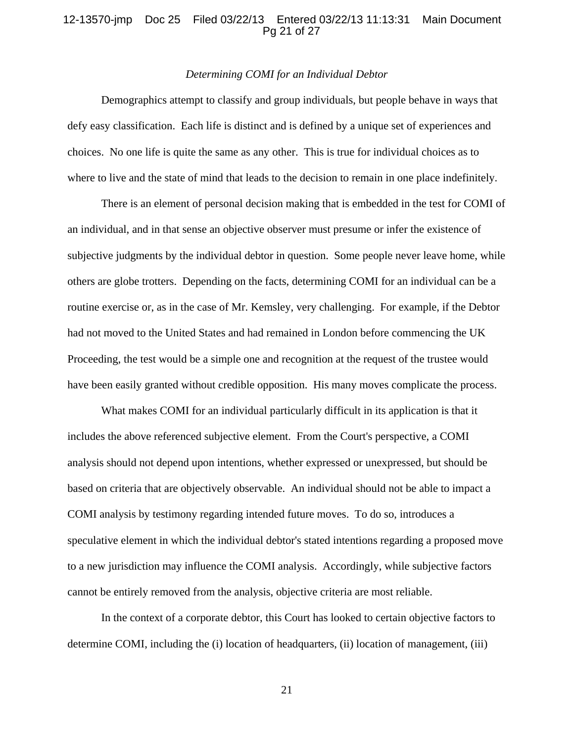### 12-13570-jmp Doc 25 Filed 03/22/13 Entered 03/22/13 11:13:31 Main Document Pg 21 of 27

### *Determining COMI for an Individual Debtor*

 Demographics attempt to classify and group individuals, but people behave in ways that defy easy classification. Each life is distinct and is defined by a unique set of experiences and choices. No one life is quite the same as any other. This is true for individual choices as to where to live and the state of mind that leads to the decision to remain in one place indefinitely.

There is an element of personal decision making that is embedded in the test for COMI of an individual, and in that sense an objective observer must presume or infer the existence of subjective judgments by the individual debtor in question. Some people never leave home, while others are globe trotters. Depending on the facts, determining COMI for an individual can be a routine exercise or, as in the case of Mr. Kemsley, very challenging. For example, if the Debtor had not moved to the United States and had remained in London before commencing the UK Proceeding, the test would be a simple one and recognition at the request of the trustee would have been easily granted without credible opposition. His many moves complicate the process.

 What makes COMI for an individual particularly difficult in its application is that it includes the above referenced subjective element. From the Court's perspective, a COMI analysis should not depend upon intentions, whether expressed or unexpressed, but should be based on criteria that are objectively observable. An individual should not be able to impact a COMI analysis by testimony regarding intended future moves. To do so, introduces a speculative element in which the individual debtor's stated intentions regarding a proposed move to a new jurisdiction may influence the COMI analysis. Accordingly, while subjective factors cannot be entirely removed from the analysis, objective criteria are most reliable.

In the context of a corporate debtor, this Court has looked to certain objective factors to determine COMI, including the (i) location of headquarters, (ii) location of management, (iii)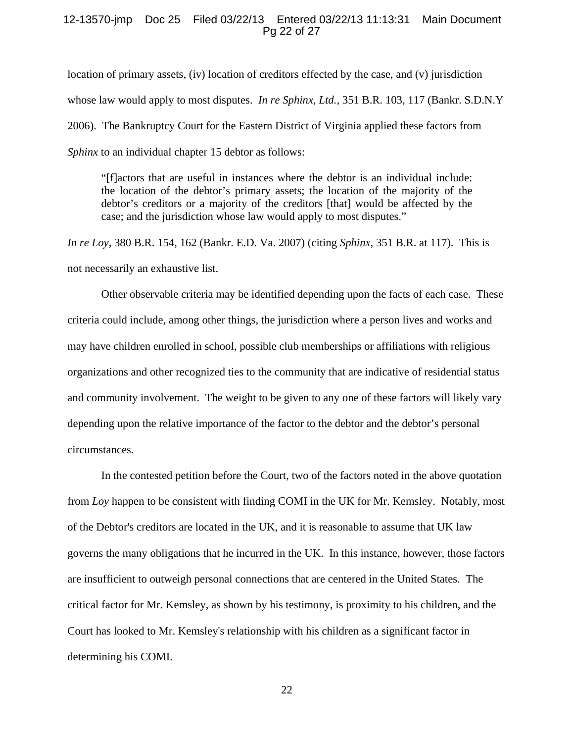#### 12-13570-jmp Doc 25 Filed 03/22/13 Entered 03/22/13 11:13:31 Main Document Pg 22 of 27

location of primary assets, (iv) location of creditors effected by the case, and (v) jurisdiction whose law would apply to most disputes. *In re Sphinx, Ltd.*, 351 B.R. 103, 117 (Bankr. S.D.N.Y 2006). The Bankruptcy Court for the Eastern District of Virginia applied these factors from *Sphinx* to an individual chapter 15 debtor as follows:

"[f]actors that are useful in instances where the debtor is an individual include: the location of the debtor's primary assets; the location of the majority of the debtor's creditors or a majority of the creditors [that] would be affected by the case; and the jurisdiction whose law would apply to most disputes."

*In re Loy*, 380 B.R. 154, 162 (Bankr. E.D. Va. 2007) (citing *Sphinx*, 351 B.R. at 117). This is not necessarily an exhaustive list.

Other observable criteria may be identified depending upon the facts of each case. These criteria could include, among other things, the jurisdiction where a person lives and works and may have children enrolled in school, possible club memberships or affiliations with religious organizations and other recognized ties to the community that are indicative of residential status and community involvement. The weight to be given to any one of these factors will likely vary depending upon the relative importance of the factor to the debtor and the debtor's personal circumstances.

In the contested petition before the Court, two of the factors noted in the above quotation from *Loy* happen to be consistent with finding COMI in the UK for Mr. Kemsley. Notably, most of the Debtor's creditors are located in the UK, and it is reasonable to assume that UK law governs the many obligations that he incurred in the UK. In this instance, however, those factors are insufficient to outweigh personal connections that are centered in the United States. The critical factor for Mr. Kemsley, as shown by his testimony, is proximity to his children, and the Court has looked to Mr. Kemsley's relationship with his children as a significant factor in determining his COMI.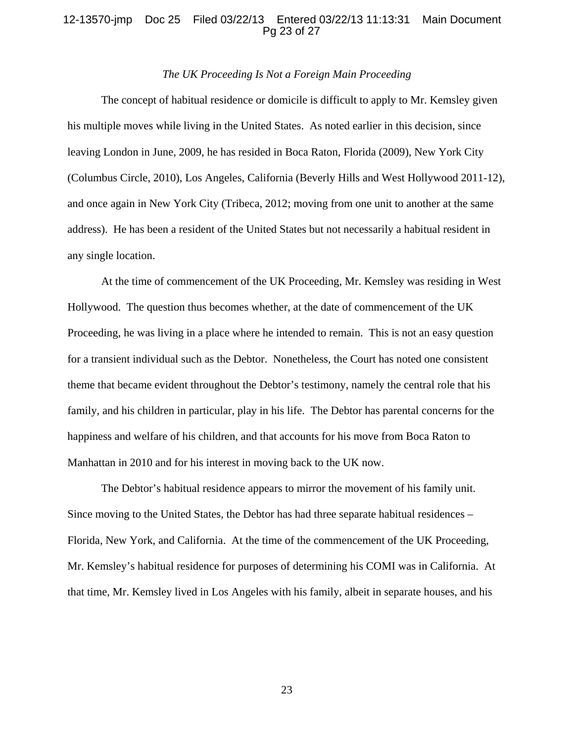### 12-13570-jmp Doc 25 Filed 03/22/13 Entered 03/22/13 11:13:31 Main Document Pg 23 of 27

### *The UK Proceeding Is Not a Foreign Main Proceeding*

The concept of habitual residence or domicile is difficult to apply to Mr. Kemsley given his multiple moves while living in the United States. As noted earlier in this decision, since leaving London in June, 2009, he has resided in Boca Raton, Florida (2009), New York City (Columbus Circle, 2010), Los Angeles, California (Beverly Hills and West Hollywood 2011-12), and once again in New York City (Tribeca, 2012; moving from one unit to another at the same address). He has been a resident of the United States but not necessarily a habitual resident in any single location.

At the time of commencement of the UK Proceeding, Mr. Kemsley was residing in West Hollywood. The question thus becomes whether, at the date of commencement of the UK Proceeding, he was living in a place where he intended to remain. This is not an easy question for a transient individual such as the Debtor. Nonetheless, the Court has noted one consistent theme that became evident throughout the Debtor's testimony, namely the central role that his family, and his children in particular, play in his life. The Debtor has parental concerns for the happiness and welfare of his children, and that accounts for his move from Boca Raton to Manhattan in 2010 and for his interest in moving back to the UK now.

The Debtor's habitual residence appears to mirror the movement of his family unit. Since moving to the United States, the Debtor has had three separate habitual residences – Florida, New York, and California. At the time of the commencement of the UK Proceeding, Mr. Kemsley's habitual residence for purposes of determining his COMI was in California. At that time, Mr. Kemsley lived in Los Angeles with his family, albeit in separate houses, and his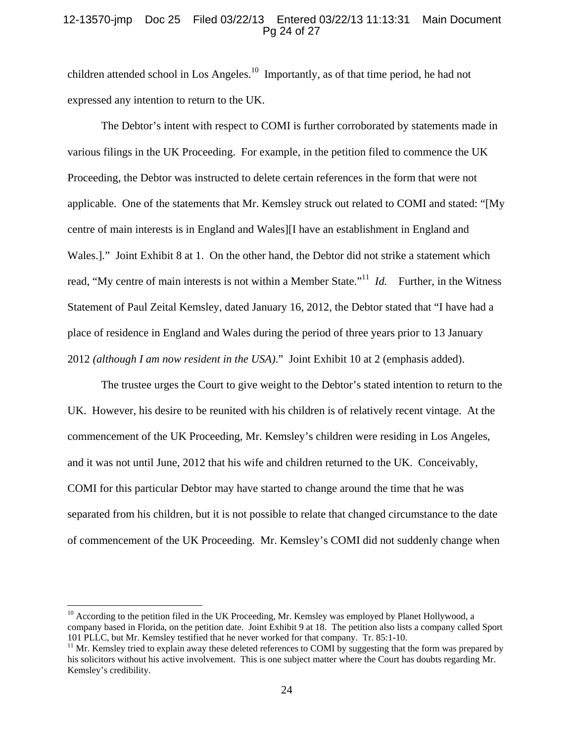### 12-13570-jmp Doc 25 Filed 03/22/13 Entered 03/22/13 11:13:31 Main Document Pg 24 of 27

children attended school in Los Angeles.<sup>10</sup> Importantly, as of that time period, he had not expressed any intention to return to the UK.

The Debtor's intent with respect to COMI is further corroborated by statements made in various filings in the UK Proceeding. For example, in the petition filed to commence the UK Proceeding, the Debtor was instructed to delete certain references in the form that were not applicable. One of the statements that Mr. Kemsley struck out related to COMI and stated: "[My centre of main interests is in England and Wales][I have an establishment in England and Wales.]." Joint Exhibit 8 at 1. On the other hand, the Debtor did not strike a statement which read, "My centre of main interests is not within a Member State."<sup>11</sup> *Id.* Further, in the Witness Statement of Paul Zeital Kemsley, dated January 16, 2012, the Debtor stated that "I have had a place of residence in England and Wales during the period of three years prior to 13 January 2012 *(although I am now resident in the USA)*." Joint Exhibit 10 at 2 (emphasis added).

The trustee urges the Court to give weight to the Debtor's stated intention to return to the UK. However, his desire to be reunited with his children is of relatively recent vintage. At the commencement of the UK Proceeding, Mr. Kemsley's children were residing in Los Angeles, and it was not until June, 2012 that his wife and children returned to the UK. Conceivably, COMI for this particular Debtor may have started to change around the time that he was separated from his children, but it is not possible to relate that changed circumstance to the date of commencement of the UK Proceeding. Mr. Kemsley's COMI did not suddenly change when

 $10$  According to the petition filed in the UK Proceeding, Mr. Kemsley was employed by Planet Hollywood, a company based in Florida, on the petition date. Joint Exhibit 9 at 18. The petition also lists a company called Sport 101 PLLC, but Mr. Kemsley testified that he never worked for that company. Tr. 85:1-10.

 $11$  Mr. Kemsley tried to explain away these deleted references to COMI by suggesting that the form was prepared by his solicitors without his active involvement. This is one subject matter where the Court has doubts regarding Mr. Kemsley's credibility.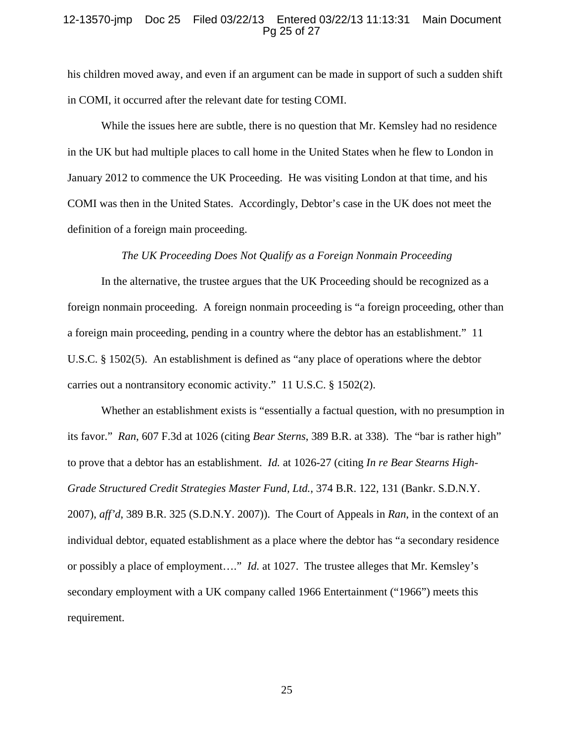### 12-13570-jmp Doc 25 Filed 03/22/13 Entered 03/22/13 11:13:31 Main Document Pg 25 of 27

his children moved away, and even if an argument can be made in support of such a sudden shift in COMI, it occurred after the relevant date for testing COMI.

While the issues here are subtle, there is no question that Mr. Kemsley had no residence in the UK but had multiple places to call home in the United States when he flew to London in January 2012 to commence the UK Proceeding. He was visiting London at that time, and his COMI was then in the United States. Accordingly, Debtor's case in the UK does not meet the definition of a foreign main proceeding.

### *The UK Proceeding Does Not Qualify as a Foreign Nonmain Proceeding*

In the alternative, the trustee argues that the UK Proceeding should be recognized as a foreign nonmain proceeding. A foreign nonmain proceeding is "a foreign proceeding, other than a foreign main proceeding, pending in a country where the debtor has an establishment." 11 U.S.C. § 1502(5). An establishment is defined as "any place of operations where the debtor carries out a nontransitory economic activity." 11 U.S.C. § 1502(2).

Whether an establishment exists is "essentially a factual question, with no presumption in its favor." *Ran*, 607 F.3d at 1026 (citing *Bear Sterns*, 389 B.R. at 338). The "bar is rather high" to prove that a debtor has an establishment. *Id.* at 1026-27 (citing *In re Bear Stearns High-Grade Structured Credit Strategies Master Fund, Ltd.*, 374 B.R. 122, 131 (Bankr. S.D.N.Y. 2007), *aff'd*, 389 B.R. 325 (S.D.N.Y. 2007)). The Court of Appeals in *Ran*, in the context of an individual debtor, equated establishment as a place where the debtor has "a secondary residence or possibly a place of employment…." *Id.* at 1027. The trustee alleges that Mr. Kemsley's secondary employment with a UK company called 1966 Entertainment ("1966") meets this requirement.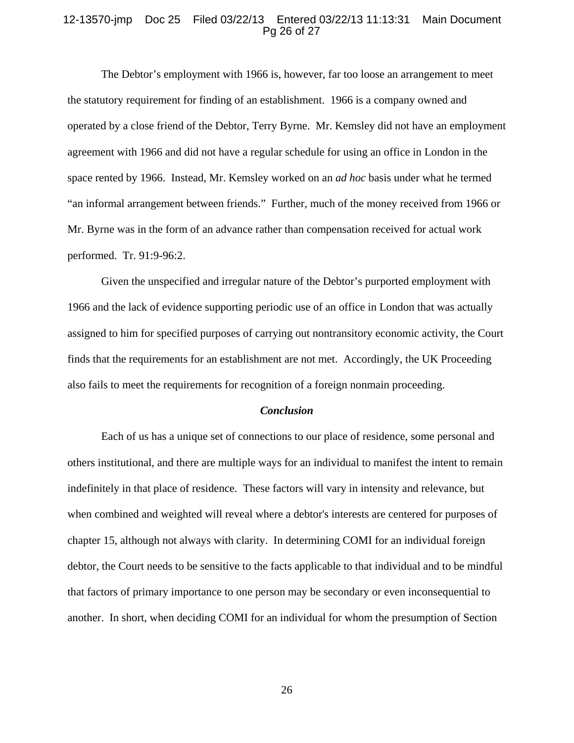#### 12-13570-jmp Doc 25 Filed 03/22/13 Entered 03/22/13 11:13:31 Main Document Pg 26 of 27

The Debtor's employment with 1966 is, however, far too loose an arrangement to meet the statutory requirement for finding of an establishment. 1966 is a company owned and operated by a close friend of the Debtor, Terry Byrne. Mr. Kemsley did not have an employment agreement with 1966 and did not have a regular schedule for using an office in London in the space rented by 1966. Instead, Mr. Kemsley worked on an *ad hoc* basis under what he termed "an informal arrangement between friends." Further, much of the money received from 1966 or Mr. Byrne was in the form of an advance rather than compensation received for actual work performed. Tr. 91:9-96:2.

Given the unspecified and irregular nature of the Debtor's purported employment with 1966 and the lack of evidence supporting periodic use of an office in London that was actually assigned to him for specified purposes of carrying out nontransitory economic activity, the Court finds that the requirements for an establishment are not met. Accordingly, the UK Proceeding also fails to meet the requirements for recognition of a foreign nonmain proceeding.

#### *Conclusion*

Each of us has a unique set of connections to our place of residence, some personal and others institutional, and there are multiple ways for an individual to manifest the intent to remain indefinitely in that place of residence. These factors will vary in intensity and relevance, but when combined and weighted will reveal where a debtor's interests are centered for purposes of chapter 15, although not always with clarity. In determining COMI for an individual foreign debtor, the Court needs to be sensitive to the facts applicable to that individual and to be mindful that factors of primary importance to one person may be secondary or even inconsequential to another. In short, when deciding COMI for an individual for whom the presumption of Section